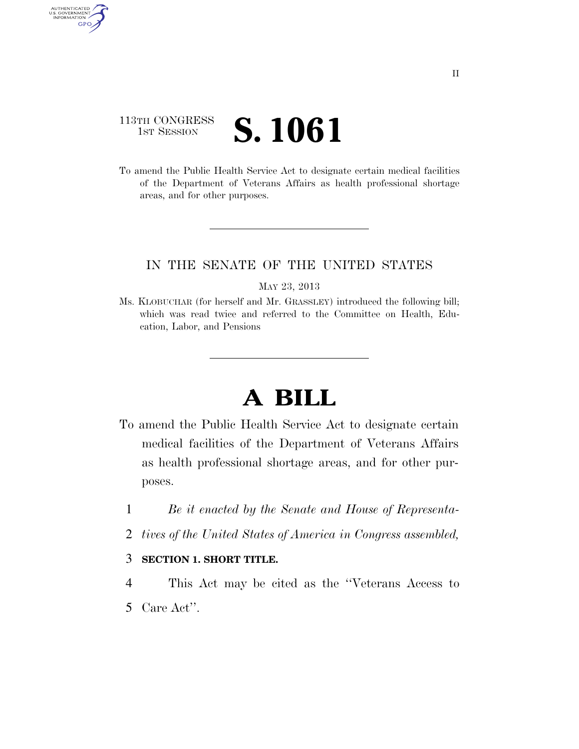## 113TH CONGRESS **IST SESSION S. 1061**

AUTHENTICATED<br>U.S. GOVERNMENT<br>INFORMATION GPO

> To amend the Public Health Service Act to designate certain medical facilities of the Department of Veterans Affairs as health professional shortage areas, and for other purposes.

## IN THE SENATE OF THE UNITED STATES

MAY 23, 2013

Ms. KLOBUCHAR (for herself and Mr. GRASSLEY) introduced the following bill; which was read twice and referred to the Committee on Health, Education, Labor, and Pensions

## **A BILL**

- To amend the Public Health Service Act to designate certain medical facilities of the Department of Veterans Affairs as health professional shortage areas, and for other purposes.
	- 1 *Be it enacted by the Senate and House of Representa-*
	- 2 *tives of the United States of America in Congress assembled,*

## 3 **SECTION 1. SHORT TITLE.**

4 This Act may be cited as the ''Veterans Access to 5 Care Act''.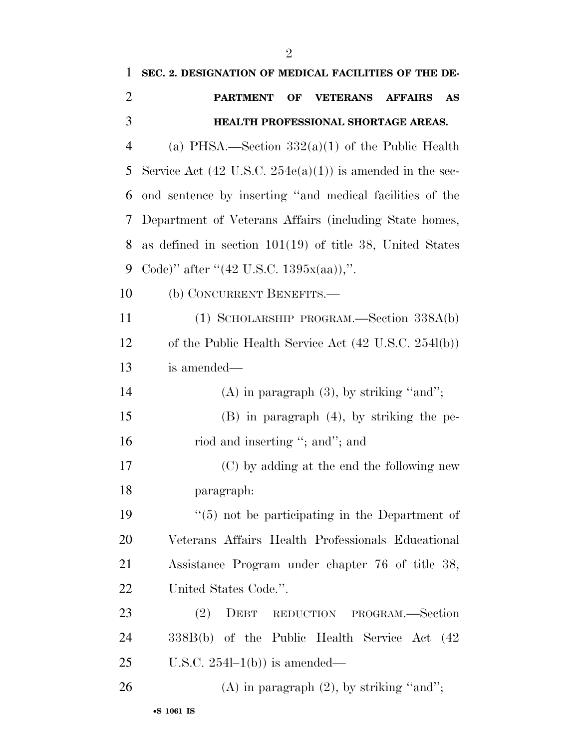| 1              | SEC. 2. DESIGNATION OF MEDICAL FACILITIES OF THE DE-                 |
|----------------|----------------------------------------------------------------------|
| $\overline{2}$ | <b>VETERANS AFFAIRS</b><br><b>PARTMENT</b><br>OF<br>AS               |
| 3              | HEALTH PROFESSIONAL SHORTAGE AREAS.                                  |
| $\overline{4}$ | (a) PHSA.—Section $332(a)(1)$ of the Public Health                   |
| 5              | Service Act $(42 \text{ U.S.C. } 254e(a)(1))$ is amended in the sec- |
| 6              | ond sentence by inserting "and medical facilities of the             |
| 7              | Department of Veterans Affairs (including State homes,               |
| 8              | as defined in section $101(19)$ of title 38, United States           |
| 9              | Code)" after " $(42 \text{ U.S.C. } 1395x(aa))$ ,".                  |
| 10             | (b) CONCURRENT BENEFITS.—                                            |
| 11             | $(1)$ SCHOLARSHIP PROGRAM.—Section 338A(b)                           |
| 12             | of the Public Health Service Act $(42 \text{ U.S.C. } 254l(b))$      |
| 13             | is amended—                                                          |
| 14             | $(A)$ in paragraph $(3)$ , by striking "and";                        |
| 15             | $(B)$ in paragraph $(4)$ , by striking the pe-                       |
| 16             | riod and inserting "; and"; and                                      |
| 17             | (C) by adding at the end the following new                           |
| 18             | paragraph:                                                           |
| 19             | $\lq(5)$ not be participating in the Department of                   |
| 20             | Veterans Affairs Health Professionals Educational                    |
| 21             | Assistance Program under chapter 76 of title 38,                     |
| 22             | United States Code.".                                                |
| 23             | (2)<br>DEBT<br>REDUCTION PROGRAM.-Section                            |
| 24             | 338B(b) of the Public Health Service Act (42                         |
| 25             | U.S.C. $254l-1(b)$ is amended—                                       |
| 26             | $(A)$ in paragraph $(2)$ , by striking "and";                        |